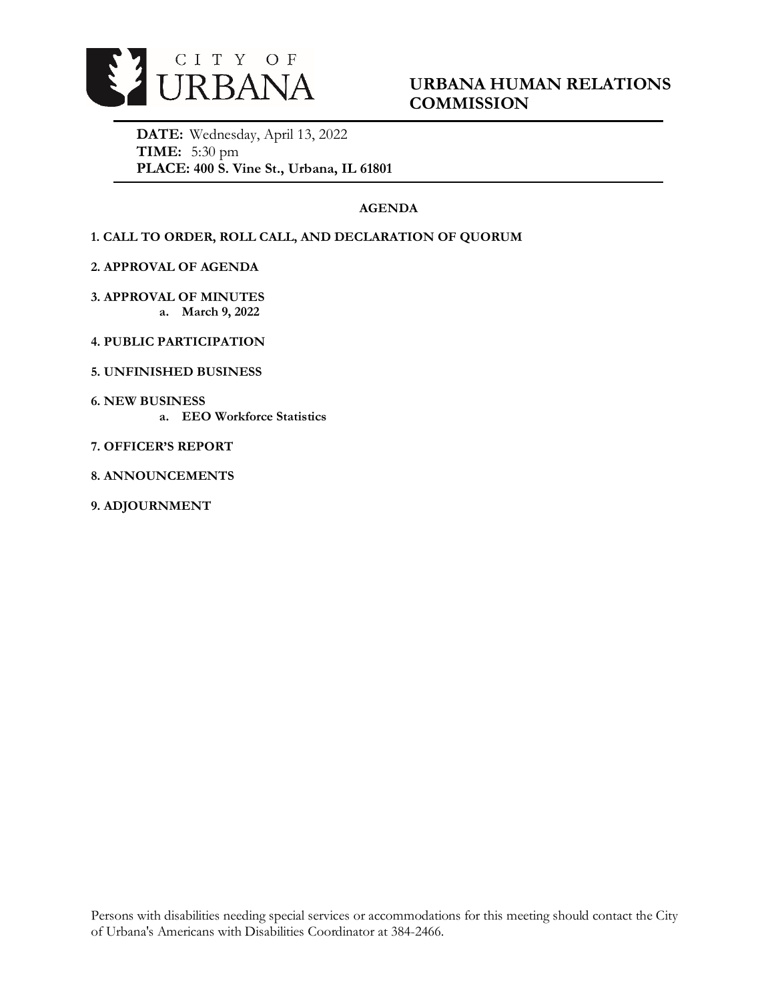

# **URBANA HUMAN RELATIONS COMMISSION**

**DATE:** Wednesday, April 13, 2022 **TIME:** 5:30 pm **PLACE: 400 S. Vine St., Urbana, IL 61801**

# **AGENDA**

## **1. CALL TO ORDER, ROLL CALL, AND DECLARATION OF QUORUM**

**2. APPROVAL OF AGENDA** 

**3. APPROVAL OF MINUTES a. March 9, 2022**

- **4. PUBLIC PARTICIPATION**
- **5. UNFINISHED BUSINESS**
- **6. NEW BUSINESS** 
	- **a. EEO Workforce Statistics**
- **7. OFFICER'S REPORT**
- **8. ANNOUNCEMENTS**
- **9. ADJOURNMENT**

Persons with disabilities needing special services or accommodations for this meeting should contact the City of Urbana's Americans with Disabilities Coordinator at 384-2466.